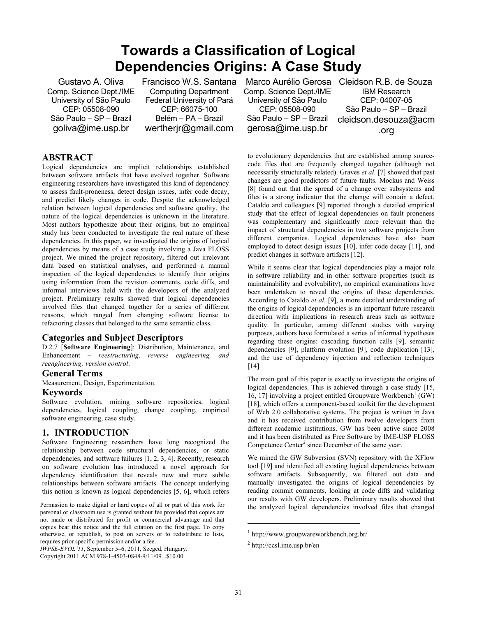# **Towards a Classification of Logical Dependencies Origins: A Case Study**

Gustavo A. Oliva Comp. Science Dept./IME University of São Paulo CEP: 05508-090 São Paulo – SP – Brazil goliva@ime.usp.br

Francisco W.S. Santana Computing Department Federal University of Pará CEP: 66075-100 Belém – PA – Brazil wertherjr@gmail.com

Comp. Science Dept./IME University of São Paulo CEP: 05508-090 São Paulo – SP – Brazil gerosa@ime.usp.br

 Marco Aurélio Gerosa Cleidson R.B. de Souza IBM Research CEP: 04007-05 São Paulo – SP – Brazil cleidson.desouza@acm .org

# **ABSTRACT**

Logical dependencies are implicit relationships established between software artifacts that have evolved together. Software engineering researchers have investigated this kind of dependency to assess fault-proneness, detect design issues, infer code decay, and predict likely changes in code. Despite the acknowledged relation between logical dependencies and software quality, the nature of the logical dependencies is unknown in the literature. Most authors hypothesize about their origins, but no empirical study has been conducted to investigate the real nature of these dependencies. In this paper, we investigated the origins of logical dependencies by means of a case study involving a Java FLOSS project. We mined the project repository, filtered out irrelevant data based on statistical analyses, and performed a manual inspection of the logical dependencies to identify their origins using information from the revision comments, code diffs, and informal interviews held with the developers of the analyzed project. Preliminary results showed that logical dependencies involved files that changed together for a series of different reasons, which ranged from changing software license to refactoring classes that belonged to the same semantic class.

# **Categories and Subject Descriptors**

D.2.7 [**Software Engineering**]: Distribution, Maintenance, and Enhancement – *reestructuring, reverse engineering, and reengineering; version control*.

# **General Terms**

Measurement, Design, Experimentation.

## **Keywords**

Software evolution, mining software repositories, logical dependencies, logical coupling, change coupling, empirical software engineering, case study.

# **1. INTRODUCTION**

Software Engineering researchers have long recognized the relationship between code structural dependencies, or static dependencies, and software failures [1, 2, 3, 4]. Recently, research on software evolution has introduced a novel approach for dependency identification that reveals new and more subtle relationships between software artifacts. The concept underlying this notion is known as logical dependencies [5, 6], which refers

*IWPSE-EVOL'11*, September 5–6, 2011, Szeged, Hungary. Copyright 2011 ACM 978-1-4503-0848-9/11/09...\$10.00.

to evolutionary dependencies that are established among sourcecode files that are frequently changed together (although not necessarily structurally related). Graves *et al*. [7] showed that past changes are good predictors of future faults. Mockus and Weiss [8] found out that the spread of a change over subsystems and files is a strong indicator that the change will contain a defect. Cataldo and colleagues [9] reported through a detailed empirical study that the effect of logical dependencies on fault proneness was complementary and significantly more relevant than the impact of structural dependencies in two software projects from different companies. Logical dependencies have also been employed to detect design issues [10], infer code decay [11], and predict changes in software artifacts [12].

While it seems clear that logical dependencies play a major role in software reliability and in other software properties (such as maintainability and evolvability), no empirical examinations have been undertaken to reveal the origins of these dependencies. According to Cataldo *et al.* [9], a more detailed understanding of the origins of logical dependencies is an important future research direction with implications in research areas such as software quality. In particular, among different studies with varying purposes, authors have formulated a series of informal hypotheses regarding these origins: cascading function calls [9], semantic dependencies [9], platform evolution [9], code duplication [13], and the use of dependency injection and reflection techniques [14].

The main goal of this paper is exactly to investigate the origins of logical dependencies. This is achieved through a case study [15, 16, 17] involving a project entitled Groupware Workbench<sup>1</sup> (GW) [18], which offers a component-based toolkit for the development of Web 2.0 collaborative systems. The project is written in Java and it has received contribution from twelve developers from different academic institutions. GW has been active since 2008 and it has been distributed as Free Software by IME-USP FLOSS Competence Center<sup>2</sup> since December of the same year.

We mined the GW Subversion (SVN) repository with the XFlow tool [19] and identified all existing logical dependencies between software artifacts. Subsequently, we filtered out data and manually investigated the origins of logical dependencies by reading commit comments, looking at code diffs and validating our results with GW developers. Preliminary results showed that the analyzed logical dependencies involved files that changed

1

Permission to make digital or hard copies of all or part of this work for personal or classroom use is granted without fee provided that copies are not made or distributed for profit or commercial advantage and that copies bear this notice and the full citation on the first page. To copy otherwise, or republish, to post on servers or to redistribute to lists, requires prior specific permission and/or a fee.

<sup>1</sup> http://www.groupwareworkbench.org.br/

<sup>2</sup> http://ccsl.ime.usp.br/en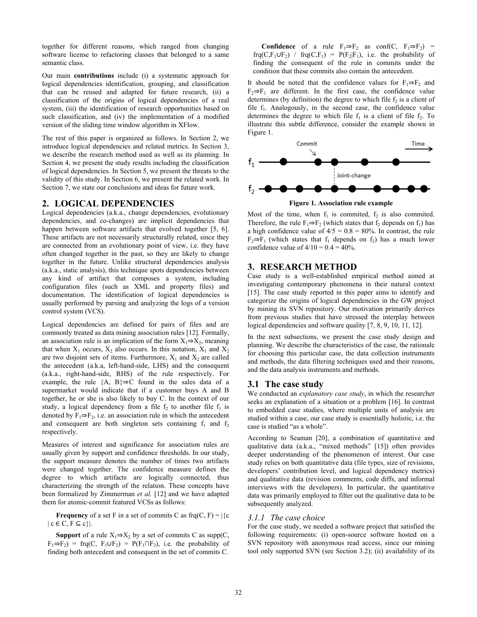together for different reasons, which ranged from changing software license to refactoring classes that belonged to a same semantic class.

Our main **contributions** include (i) a systematic approach for logical dependencies identification, grouping, and classification that can be reused and adapted for future research, (ii) a classification of the origins of logical dependencies of a real system, (iii) the identification of research opportunities based on such classification, and (iv) the implementation of a modified version of the sliding time window algorithm in XFlow.

The rest of this paper is organized as follows. In Section 2, we introduce logical dependencies and related metrics. In Section 3, we describe the research method used as well as its planning. In Section 4, we present the study results including the classification of logical dependencies. In Section 5, we present the threats to the validity of this study. In Section 6, we present the related work. In Section 7, we state our conclusions and ideas for future work.

#### **2. LOGICAL DEPENDENCIES**

Logical dependencies (a.k.a., change dependencies, evolutionary dependencies, and co-changes) are implicit dependencies that happen between software artifacts that evolved together [5, 6]. These artifacts are not necessarily structurally related, since they are connected from an evolutionary point of view, i.e. they have often changed together in the past, so they are likely to change together in the future. Unlike structural dependencies analysis (a.k.a., static analysis), this technique spots dependencies between any kind of artifact that composes a system, including configuration files (such as XML and property files) and documentation. The identification of logical dependencies is usually performed by parsing and analyzing the logs of a version control system (VCS).

Logical dependencies are defined for pairs of files and are commonly treated as data mining association rules [12]. Formally, an association rule is an implication of the form  $X_1 \Rightarrow X_2$ , meaning that when  $X_1$  occurs,  $X_2$  also occurs. In this notation,  $X_1$  and  $X_2$ are two disjoint sets of items. Furthermore,  $X_1$  and  $X_2$  are called the antecedent (a.k.a, left-hand-side, LHS) and the consequent (a.k.a., right-hand-side, RHS) of the rule respectively. For example, the rule  ${A, B} \rightarrow C$  found in the sales data of a supermarket would indicate that if a customer buys A and B together, he or she is also likely to buy C. In the context of our study, a logical dependency from a file  $f_2$  to another file  $f_1$  is denoted by  $F_1 \Rightarrow F_2$ , i.e. an association rule in which the antecedent and consequent are both singleton sets containing  $f_1$  and  $f_2$ respectively.

Measures of interest and significance for association rules are usually given by support and confidence thresholds. In our study, the support measure denotes the number of times two artifacts were changed together. The confidence measure defines the degree to which artifacts are logically connected, thus characterizing the strength of the relation. These concepts have been formalized by Zimmerman *et al.* [12] and we have adapted them for atomic-commit featured VCSs as follows:

**Frequency** of a set F in a set of commits C as  $\text{frq}(C, F) = |\{c\}$  $| c \in C, F \subseteq c \}$ .

**Support** of a rule  $X_1 \Rightarrow X_2$  by a set of commits C as supp(C,  $F_1 \Rightarrow F_2$ ) = frq(C,  $F_1 \cup F_2$ ) = P( $F_1 \cap F_2$ ), i.e. the probability of finding both antecedent and consequent in the set of commits C.

**Confidence** of a rule  $F_1 \Rightarrow F_2$  as conf(C,  $F_1 \Rightarrow F_2$ ) = frq(C,F<sub>1</sub>UF<sub>2</sub>) / frq(C,F<sub>1</sub>) = P(F<sub>2</sub>|F<sub>1</sub>), i.e. the probability of finding the consequent of the rule in commits under the condition that these commits also contain the antecedent.

It should be noted that the confidence values for  $F_1 \Rightarrow F_2$  and  $F_2 \Rightarrow F_1$  are different. In the first case, the confidence value determines (by definition) the degree to which file  $f_2$  is a client of file f<sub>1</sub>. Analogously, in the second case, the confidence value determines the degree to which file  $f_1$  is a client of file  $f_2$ . To illustrate this subtle difference, consider the example shown in Figure 1.



**Figure 1. Association rule example** 

Most of the time, when  $f_1$  is commited,  $f_2$  is also commited. Therefore, the rule  $F_1 \Rightarrow F_2$  (which states that  $f_2$  depends on  $f_1$ ) has a high confidence value of  $4/5 = 0.8 = 80\%$ . In contrast, the rule  $F_2 \Rightarrow F_1$  (which states that  $f_1$  depends on  $f_2$ ) has a much lower confidence value of  $4/10 = 0.4 = 40\%$ .

#### **3. RESEARCH METHOD**

Case study is a well-established empirical method aimed at investigating contemporary phenomena in their natural context [15]. The case study reported in this paper aims to identify and categorize the origins of logical dependencies in the GW project by mining its SVN repository. Our motivation primarily derives from previous studies that have stressed the interplay between logical dependencies and software quality [7, 8, 9, 10, 11, 12].

In the next subsections, we present the case study design and planning. We describe the characteristics of the case, the rationale for choosing this particular case, the data collection instruments and methods, the data filtering techniques used and their reasons, and the data analysis instruments and methods.

## **3.1 The case study**

We conducted an *explanatory case study*, in which the researcher seeks an explanation of a situation or a problem [16]. In contrast to embedded case studies, where multiple units of analysis are studied within a case, our case study is essentially holistic, i.e. the case is studied "as a whole".

According to Seaman [20], a combination of quantitative and qualitative data (a.k.a., "mixed methods" [15]) often provides deeper understanding of the phenomenon of interest. Our case study relies on both quantitative data (file types, size of revisions, developers' contribution level, and logical dependency metrics) and qualitative data (revision comments, code diffs, and informal interviews with the developers). In particular, the quantitative data was primarily employed to filter out the qualitative data to be subsequently analyzed.

#### *3.1.1 The case choice*

For the case study, we needed a software project that satisfied the following requirements: (i) open-source software hosted on a SVN repository with anonymous read access, since our mining tool only supported SVN (see Section 3.2); (ii) availability of its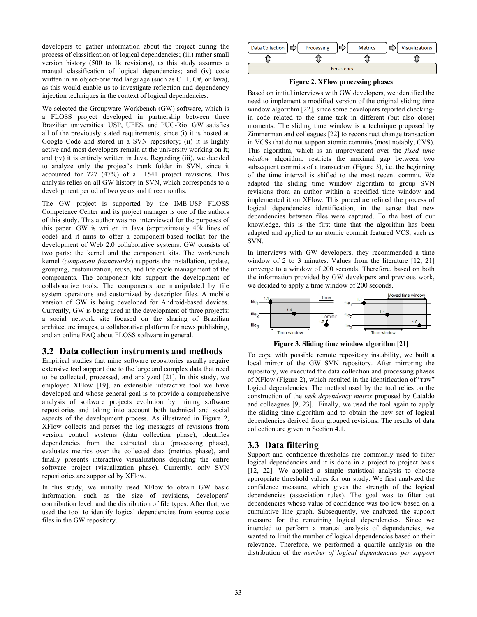developers to gather information about the project during the process of classification of logical dependencies; (iii) rather small version history (500 to 1k revisions), as this study assumes a manual classification of logical dependencies; and (iv) code written in an object-oriented language (such as C++, C#, or Java), as this would enable us to investigate reflection and dependency injection techniques in the context of logical dependencies.

We selected the Groupware Workbench (GW) software, which is a FLOSS project developed in partnership between three Brazilian universities: USP, UFES, and PUC-Rio. GW satisfies all of the previously stated requirements, since (i) it is hosted at Google Code and stored in a SVN repository; (ii) it is highly active and most developers remain at the university working on it; and (iv) it is entirely written in Java. Regarding (iii), we decided to analyze only the project's trunk folder in SVN, since it accounted for 727 (47%) of all 1541 project revisions. This analysis relies on all GW history in SVN, which corresponds to a development period of two years and three months.

The GW project is supported by the IME-USP FLOSS Competence Center and its project manager is one of the authors of this study. This author was not interviewed for the purposes of this paper. GW is written in Java (approximately 40k lines of code) and it aims to offer a component-based toolkit for the development of Web 2.0 collaborative systems. GW consists of two parts: the kernel and the component kits. The workbench kernel (*component frameworks*) supports the installation, update, grouping, customization, reuse, and life cycle management of the components. The component kits support the development of collaborative tools. The components are manipulated by file system operations and customized by descriptor files. A mobile version of GW is being developed for Android-based devices. Currently, GW is being used in the development of three projects: a social network site focused on the sharing of Brazilian architecture images, a collaborative platform for news publishing, and an online FAQ about FLOSS software in general.

#### **3.2 Data collection instruments and methods**

Empirical studies that mine software repositories usually require extensive tool support due to the large and complex data that need to be collected, processed, and analyzed [21]. In this study, we employed XFlow [19], an extensible interactive tool we have developed and whose general goal is to provide a comprehensive analysis of software projects evolution by mining software repositories and taking into account both technical and social aspects of the development process. As illustrated in Figure 2, XFlow collects and parses the log messages of revisions from version control systems (data collection phase), identifies dependencies from the extracted data (processing phase), evaluates metrics over the collected data (metrics phase), and finally presents interactive visualizations depicting the entire software project (visualization phase). Currently, only SVN repositories are supported by XFlow.

In this study, we initially used XFlow to obtain GW basic information, such as the size of revisions, developers' contribution level, and the distribution of file types. After that, we used the tool to identify logical dependencies from source code files in the GW repository.



**Figure 2. XFlow processing phases** 

Based on initial interviews with GW developers, we identified the need to implement a modified version of the original sliding time window algorithm [22], since some developers reported checkingin code related to the same task in different (but also close) moments. The sliding time window is a technique proposed by Zimmerman and colleagues [22] to reconstruct change transaction in VCSs that do not support atomic commits (most notably, CVS). This algorithm, which is an improvement over the *fixed time window* algorithm, restricts the maximal gap between two subsequent commits of a transaction (Figure 3), i.e. the beginning of the time interval is shifted to the most recent commit. We adapted the sliding time window algorithm to group SVN revisions from an author within a specified time window and implemented it on XFlow. This procedure refined the process of logical dependencies identification, in the sense that new dependencies between files were captured. To the best of our knowledge, this is the first time that the algorithm has been adapted and applied to an atomic commit featured VCS, such as SVN.

In interviews with GW developers, they recommended a time window of 2 to 3 minutes. Values from the literature [12, 21] converge to a window of 200 seconds. Therefore, based on both the information provided by GW developers and previous work, we decided to apply a time window of 200 seconds.



**Figure 3. Sliding time window algorithm [21]** 

To cope with possible remote repository instability, we built a local mirror of the GW SVN repository. After mirroring the repository, we executed the data collection and processing phases of XFlow (Figure 2), which resulted in the identification of "raw" logical dependencies. The method used by the tool relies on the construction of the *task dependency matrix* proposed by Cataldo and colleagues [9, 23].Finally, we used the tool again to apply the sliding time algorithm and to obtain the new set of logical dependencies derived from grouped revisions. The results of data collection are given in Section 4.1.

## **3.3 Data filtering**

Support and confidence thresholds are commonly used to filter logical dependencies and it is done in a project to project basis [12, 22]. We applied a simple statistical analysis to choose appropriate threshold values for our study. We first analyzed the confidence measure, which gives the strength of the logical dependencies (association rules). The goal was to filter out dependencies whose value of confidence was too low based on a cumulative line graph. Subsequently, we analyzed the support measure for the remaining logical dependencies. Since we intended to perform a manual analysis of dependencies, we wanted to limit the number of logical dependencies based on their relevance. Therefore, we performed a quartile analysis on the distribution of the *number of logical dependencies per support*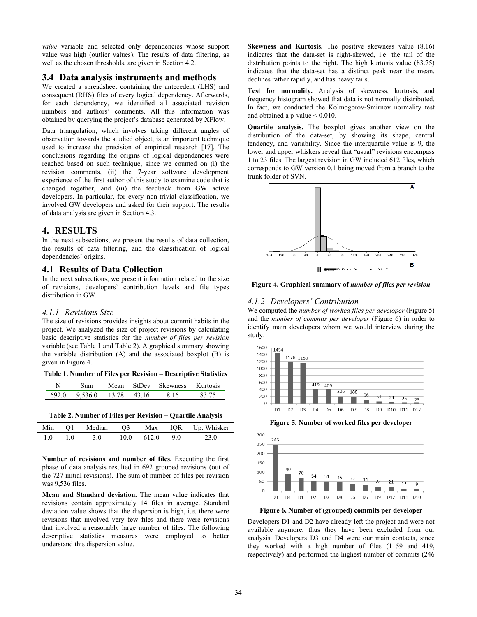*value* variable and selected only dependencies whose support value was high (outlier values). The results of data filtering, as well as the chosen thresholds, are given in Section 4.2.

#### **3.4 Data analysis instruments and methods**

We created a spreadsheet containing the antecedent (LHS) and consequent (RHS) files of every logical dependency. Afterwards, for each dependency, we identified all associated revision numbers and authors' comments. All this information was obtained by querying the project's database generated by XFlow.

Data triangulation, which involves taking different angles of observation towards the studied object, is an important technique used to increase the precision of empirical research [17]. The conclusions regarding the origins of logical dependencies were reached based on such technique, since we counted on (i) the revision comments, (ii) the 7-year software development experience of the first author of this study to examine code that is changed together, and (iii) the feedback from GW active developers. In particular, for every non-trivial classification, we involved GW developers and asked for their support. The results of data analysis are given in Section 4.3.

#### **4. RESULTS**

In the next subsections, we present the results of data collection, the results of data filtering, and the classification of logical dependencies' origins.

#### **4.1 Results of Data Collection**

In the next subsections, we present information related to the size of revisions, developers' contribution levels and file types distribution in GW.

#### *4.1.1 Revisions Size*

The size of revisions provides insights about commit habits in the project. We analyzed the size of project revisions by calculating basic descriptive statistics for the *number of files per revision* variable (see Table 1 and Table 2). A graphical summary showing the variable distribution (A) and the associated boxplot (B) is given in Figure 4.

**Table 1. Number of Files per Revision – Descriptive Statistics** 

| Sum                       |  | Mean StDev Skewness Kurtosis |       |
|---------------------------|--|------------------------------|-------|
| 692.0 9.536.0 13.78 43.16 |  | 8.16                         | 83 75 |

**Table 2. Number of Files per Revision – Quartile Analysis** 

|       |     |     |                      | Min Q1 Median Q3 Max IQR Up. Whisker |
|-------|-----|-----|----------------------|--------------------------------------|
| - 1.0 | 1.0 | 3.0 | $10.0$ $612.0$ $9.0$ | 23.0                                 |

**Number of revisions and number of files.** Executing the first phase of data analysis resulted in 692 grouped revisions (out of the 727 initial revisions). The sum of number of files per revision was 9,536 files.

**Mean and Standard deviation.** The mean value indicates that revisions contain approximately 14 files in average. Standard deviation value shows that the dispersion is high, i.e. there were revisions that involved very few files and there were revisions that involved a reasonably large number of files. The following descriptive statistics measures were employed to better understand this dispersion value.

**Skewness and Kurtosis.** The positive skewness value (8.16) indicates that the data-set is right-skewed, i.e. the tail of the distribution points to the right. The high kurtosis value (83.75) indicates that the data-set has a distinct peak near the mean, declines rather rapidly, and has heavy tails.

**Test for normality.** Analysis of skewness, kurtosis, and frequency histogram showed that data is not normally distributed. In fact, we conducted the Kolmogorov-Smirnov normality test and obtained a p-value < 0.010.

**Quartile analysis.** The boxplot gives another view on the distribution of the data-set, by showing its shape, central tendency, and variability. Since the interquartile value is 9, the lower and upper whiskers reveal that "usual" revisions encompass 1 to 23 files. The largest revision in GW included 612 files, which corresponds to GW version 0.1 being moved from a branch to the trunk folder of SVN.



**Figure 4. Graphical summary of** *number of files per revision* 

#### *4.1.2 Developers' Contribution*

We computed the *number of worked files per developer* (Figure 5) and the *number of commits per developer* (Figure 6) in order to identify main developers whom we would interview during the study.



**Figure 5. Number of worked files per developer** 



**Figure 6. Number of (grouped) commits per developer** 

Developers D1 and D2 have already left the project and were not available anymore, thus they have been excluded from our analysis. Developers D3 and D4 were our main contacts, since they worked with a high number of files (1159 and 419, respectively) and performed the highest number of commits (246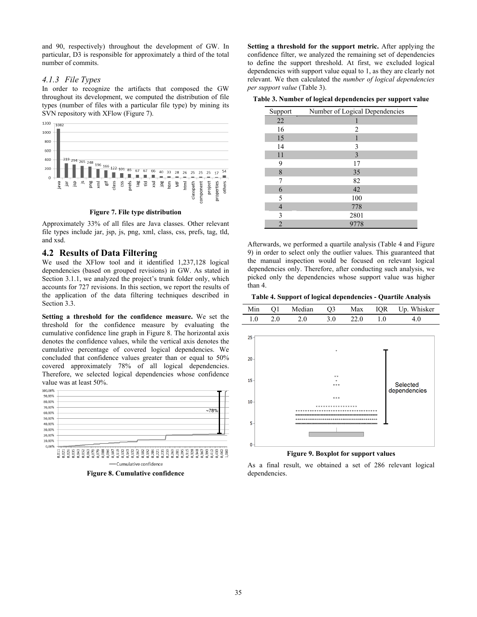and 90, respectively) throughout the development of GW. In particular, D3 is responsible for approximately a third of the total number of commits.

## *4.1.3 File Types*

In order to recognize the artifacts that composed the GW throughout its development, we computed the distribution of file types (number of files with a particular file type) by mining its SVN repository with XFlow (Figure 7).



**Figure 7. File type distribution** 

Approximately 33% of all files are Java classes. Other relevant file types include jar, jsp, js, png, xml, class, css, prefs, tag, tld, and xsd.

# **4.2 Results of Data Filtering**

We used the XFlow tool and it identified 1,237,128 logical dependencies (based on grouped revisions) in GW. As stated in Section 3.1.1, we analyzed the project's trunk folder only, which accounts for 727 revisions. In this section, we report the results of the application of the data filtering techniques described in Section 3.3.

**Setting a threshold for the confidence measure.** We set the threshold for the confidence measure by evaluating the cumulative confidence line graph in Figure 8. The horizontal axis denotes the confidence values, while the vertical axis denotes the cumulative percentage of covered logical dependencies. We concluded that confidence values greater than or equal to 50% covered approximately 78% of all logical dependencies. Therefore, we selected logical dependencies whose confidence value was at least 50%.



**Figure 8. Cumulative confidence** 

**Setting a threshold for the support metric.** After applying the confidence filter, we analyzed the remaining set of dependencies to define the support threshold. At first, we excluded logical dependencies with support value equal to 1, as they are clearly not relevant. We then calculated the *number of logical dependencies per support value* (Table 3).

**Table 3. Number of logical dependencies per support value** 

| Support        | Number of Logical Dependencies |
|----------------|--------------------------------|
| 22             |                                |
| 16             | 2                              |
| 15             |                                |
| 14             | 3                              |
| 11             | 3                              |
| 9              | 17                             |
| 8              | 35                             |
|                | 82                             |
| 6              | 42                             |
| 5              | 100                            |
| 4              | 778                            |
| 3              | 2801                           |
| $\overline{2}$ | 9778                           |

Afterwards, we performed a quartile analysis (Table 4 and Figure 9) in order to select only the outlier values. This guaranteed that the manual inspection would be focused on relevant logical dependencies only. Therefore, after conducting such analysis, we picked only the dependencies whose support value was higher than 4.

**Table 4. Support of logical dependencies - Quartile Analysis** 

|  |                                            |  | Min Q1 Median Q3 Max IQR Up. Whisker |
|--|--------------------------------------------|--|--------------------------------------|
|  | $1.0$ $2.0$ $2.0$ $3.0$ $22.0$ $1.0$ $4.0$ |  |                                      |



**Figure 9. Boxplot for support values** 

As a final result, we obtained a set of 286 relevant logical dependencies.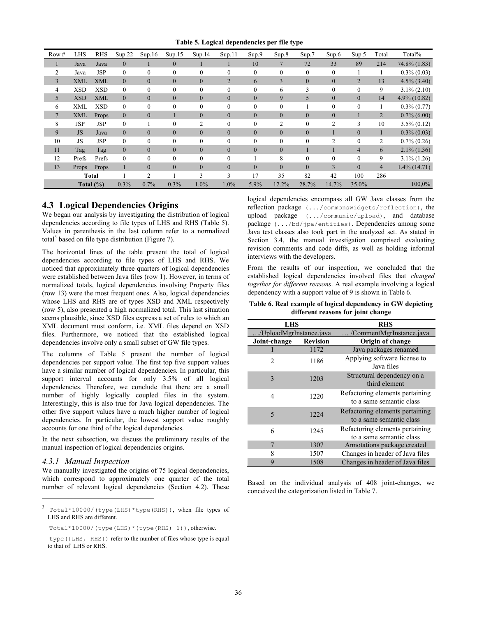**Table 5. Logical dependencies per file type** 

| Row $#$        | <b>LHS</b> | <b>RHS</b>    | Sup.22         | Sup.16           | Sup.15       | Sup.14        | Sup.11         | Sup.9        | Sup.8          | Sup.7          | Sup.6                   | Sup.5            | Total          | Total%           |
|----------------|------------|---------------|----------------|------------------|--------------|---------------|----------------|--------------|----------------|----------------|-------------------------|------------------|----------------|------------------|
|                | Java       | Java          | $\mathbf{0}$   |                  | $\mathbf{0}$ |               |                | 10           |                | 72             | 33                      | 89               | 214            | 74.8% (1.83)     |
|                | Java       | <b>JSP</b>    | $\theta$       | $\boldsymbol{0}$ | $\Omega$     | $\mathbf{0}$  | $\Omega$       | $\theta$     | $\Omega$       | $\theta$       | $\Omega$                |                  |                | $0.3\%$ (0.03)   |
| 3              | <b>XML</b> | <b>XML</b>    | $\theta$       | $\overline{0}$   | $\mathbf{0}$ | $\mathbf{0}$  | $\overline{2}$ | 6            | 3              | $\overline{0}$ | $\theta$                | $\overline{2}$   | 13             | $4.5\%$ (3.40)   |
|                | <b>XSD</b> | <b>XSD</b>    | $\Omega$       | $\boldsymbol{0}$ | $\theta$     | $\mathbf{0}$  | $\theta$       | $\theta$     | 6              | 3              | $\theta$                | $\boldsymbol{0}$ | 9              | $3.1\% (2.10)$   |
| 5              | <b>XSD</b> | <b>XML</b>    | $\theta$       | $\overline{0}$   | $\mathbf{0}$ | $\mathbf{0}$  | $\Omega$       | $\mathbf{0}$ | 9              | 5              | $\theta$                | $\mathbf{0}$     | 14             | 4.9% (10.82)     |
| 6              | <b>XML</b> | <b>XSD</b>    | $\overline{0}$ | $\overline{0}$   | $\Omega$     | $\mathbf{0}$  | $\theta$       | $\theta$     | $\Omega$       |                | $\theta$                | $\mathbf{0}$     |                | $0.3\%$ $(0.77)$ |
| $\overline{7}$ | <b>XML</b> | Props         | $\mathbf{0}$   | $\overline{0}$   |              | $\mathbf{0}$  | $\mathbf{0}$   | $\mathbf{0}$ | $\mathbf{0}$   | $\mathbf{0}$   | $\mathbf{0}$            |                  | $\overline{2}$ | $0.7\%$ (6.00)   |
| 8              | <b>JSP</b> | <b>JSP</b>    | $\Omega$       |                  | $\Omega$     | 2             | $\Omega$       | $\theta$     | $\overline{c}$ | $\theta$       | $\mathfrak{D}$          | 3                | 10             | $3.5\% (0.12)$   |
| 9              | <b>JS</b>  | Java          | $\overline{0}$ | $\overline{0}$   | $\mathbf{0}$ | $\mathbf{0}$  | $\Omega$       | $\theta$     | $\Omega$       | $\Omega$       |                         | $\theta$         |                | $0.3\%$ (0.03)   |
| 10             | JS         | <b>JSP</b>    | $\mathbf{0}$   | $\mathbf{0}$     | $\theta$     | $\theta$      | $\Omega$       | $\theta$     | $\theta$       | $\Omega$       | $\mathfrak{D}$          | $\mathbf{0}$     | $\overline{2}$ | $0.7\%$ $(0.26)$ |
| 11             | Tag        | Tag           | $\mathbf{0}$   | $\overline{0}$   | $\mathbf{0}$ | $\mathbf{0}$  | $\Omega$       | $\mathbf{0}$ | $\Omega$       |                |                         | $\overline{4}$   | 6              | $2.1\%$ (1.36)   |
| 12             | Prefs      | Prefs         | $\Omega$       | $\theta$         | $\theta$     | $\theta$      | $\Omega$       |              | 8              | $\Omega$       | $\Omega$                | $\theta$         | 9              | $3.1\%$ (1.26)   |
| 13             | Props      | Props         |                | $\overline{0}$   | $\mathbf{0}$ | $\mathbf{0}$  | $\Omega$       | $\Omega$     | $\Omega$       | $\theta$       | $\overline{\mathbf{3}}$ | $\theta$         | $\overline{4}$ | $1.4\%$ (14.71)  |
|                |            | <b>Total</b>  |                | $\overline{c}$   |              | $\mathcal{E}$ | 3              | 17           | 35             | 82             | 42                      | 100              | 286            |                  |
|                |            | Total $(\% )$ | 0.3%           | 0.7%             | 0.3%         | 1.0%          | 1.0%           | 5.9%         | 12.2%          | 28.7%          | 14.7%                   | 35.0%            |                | 100,0%           |

# **4.3 Logical Dependencies Origins**

We began our analysis by investigating the distribution of logical dependencies according to file types of LHS and RHS (Table 5). Values in parenthesis in the last column refer to a normalized total<sup>3</sup> based on file type distribution (Figure 7).

The horizontal lines of the table present the total of logical dependencies according to file types of LHS and RHS. We noticed that approximately three quarters of logical dependencies were established between Java files (row 1). However, in terms of normalized totals, logical dependencies involving Property files (row 13) were the most frequent ones. Also, logical dependencies whose LHS and RHS are of types XSD and XML respectively (row 5), also presented a high normalized total. This last situation seems plausible, since XSD files express a set of rules to which an XML document must conform, i.e. XML files depend on XSD files. Furthermore, we noticed that the established logical dependencies involve only a small subset of GW file types.

The columns of Table 5 present the number of logical dependencies per support value. The first top five support values have a similar number of logical dependencies. In particular, this support interval accounts for only 3.5% of all logical dependencies. Therefore, we conclude that there are a small number of highly logically coupled files in the system. Interestingly, this is also true for Java logical dependencies. The other five support values have a much higher number of logical dependencies. In particular, the lowest support value roughly accounts for one third of the logical dependencies.

In the next subsection, we discuss the preliminary results of the manual inspection of logical dependencies origins.

#### *4.3.1 Manual Inspection*

l

We manually investigated the origins of 75 logical dependencies, which correspond to approximately one quarter of the total number of relevant logical dependencies (Section 4.2). These logical dependencies encompass all GW Java classes from the reflection package (.../commonswidgets/reflection), the upload package (.../communic/upload), and database package (.../bd/jpa/entities). Dependencies among some Java test classes also took part in the analyzed set. As stated in Section 3.4, the manual investigation comprised evaluating revision comments and code diffs, as well as holding informal interviews with the developers.

From the results of our inspection, we concluded that the established logical dependencies involved files that *changed together for different reasons*. A real example involving a logical dependency with a support value of 9 is shown in Table 6.

**Table 6. Real example of logical dependency in GW depicting different reasons for joint change** 

| LHS                     |                 | <b>RHS</b>                                                  |
|-------------------------|-----------------|-------------------------------------------------------------|
| /UploadMgrInstance.java |                 | /CommentMgrInstance.java                                    |
| Joint-change            | <b>Revision</b> | Origin of change                                            |
|                         | 1172            | Java packages renamed                                       |
| $\mathfrak{D}$          | 1186            | Applying software license to<br>Java files                  |
| 3                       | 1203            | Structural dependency on a<br>third element                 |
| 4                       | 1220            | Refactoring elements pertaining<br>to a same semantic class |
| 5                       | 1224            | Refactoring elements pertaining<br>to a same semantic class |
| 6                       | 1245            | Refactoring elements pertaining<br>to a same semantic class |
| 7                       | 1307            | Annotations package created                                 |
| 8                       | 1507            | Changes in header of Java files                             |
| 9                       | 1508            | Changes in header of Java files                             |

Based on the individual analysis of 408 joint-changes, we conceived the categorization listed in Table 7.

<sup>3</sup> Total\*10000/(type(LHS)\*type(RHS)), when file types of LHS and RHS are different.

Total\*10000/(type(LHS)\*(type(RHS)–1)), otherwise.

type ({LHS, RHS}) refer to the number of files whose type is equal to that of LHS or RHS.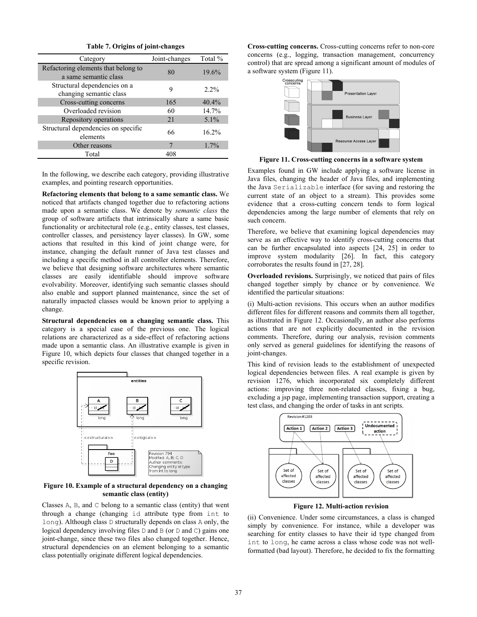|  |  | Table 7. Origins of joint-changes |
|--|--|-----------------------------------|
|  |  |                                   |

| Category                                                     | Joint-changes | Total % |
|--------------------------------------------------------------|---------------|---------|
| Refactoring elements that belong to<br>a same semantic class | 80            | 19.6%   |
| Structural dependencies on a<br>changing semantic class      | 9             | $2.2\%$ |
| Cross-cutting concerns                                       | 165           | 40.4%   |
| Overloaded revision                                          | 60            | 14.7%   |
| Repository operations                                        | 2.1           | $5.1\%$ |
| Structural dependencies on specific<br>elements              | 66            | 16.2%   |
| Other reasons                                                | 7             | $1.7\%$ |
| Total                                                        | 408           |         |

In the following, we describe each category, providing illustrative examples, and pointing research opportunities.

**Refactoring elements that belong to a same semantic class.** We noticed that artifacts changed together due to refactoring actions made upon a semantic class. We denote by *semantic class* the group of software artifacts that intrinsically share a same basic functionality or architectural role (e.g., entity classes, test classes, controller classes, and persistency layer classes). In GW, some actions that resulted in this kind of joint change were, for instance, changing the default runner of Java test classes and including a specific method in all controller elements. Therefore, we believe that designing software architectures where semantic classes are easily identifiable should improve software evolvability. Moreover, identifying such semantic classes should also enable and support planned maintenance, since the set of naturally impacted classes would be known prior to applying a change.

**Structural dependencies on a changing semantic class.** This category is a special case of the previous one. The logical relations are characterized as a side-effect of refactoring actions made upon a semantic class. An illustrative example is given in Figure 10, which depicts four classes that changed together in a specific revision.



#### **Figure 10. Example of a structural dependency on a changing semantic class (entity)**

Classes A, B, and C belong to a semantic class (entity) that went through a change (changing id attribute type from int to long). Although class D structurally depends on class A only, the logical dependency involving files  $D$  and  $B$  (or  $D$  and  $C$ ) gains one joint-change, since these two files also changed together. Hence, structural dependencies on an element belonging to a semantic class potentially originate different logical dependencies.

**Cross-cutting concerns.** Cross-cutting concerns refer to non-core concerns (e.g., logging, transaction management, concurrency control) that are spread among a significant amount of modules of a software system (Figure 11).



**Figure 11. Cross-cutting concerns in a software system** 

Examples found in GW include applying a software license in Java files, changing the header of Java files, and implementing the Java Serializable interface (for saving and restoring the current state of an object to a stream). This provides some evidence that a cross-cutting concern tends to form logical dependencies among the large number of elements that rely on such concern.

Therefore, we believe that examining logical dependencies may serve as an effective way to identify cross-cutting concerns that can be further encapsulated into aspects [24, 25] in order to improve system modularity [26]. In fact, this category corroborates the results found in [27, 28].

**Overloaded revisions.** Surprisingly, we noticed that pairs of files changed together simply by chance or by convenience. We identified the particular situations:

(i) Multi-action revisions. This occurs when an author modifies different files for different reasons and commits them all together, as illustrated in Figure 12. Occasionally, an author also performs actions that are not explicitly documented in the revision comments. Therefore, during our analysis, revision comments only served as general guidelines for identifying the reasons of joint-changes.

This kind of revision leads to the establishment of unexpected logical dependencies between files. A real example is given by revision 1276, which incorporated six completely different actions: improving three non-related classes, fixing a bug, excluding a jsp page, implementing transaction support, creating a test class, and changing the order of tasks in ant scripts.



**Figure 12. Multi-action revision** 

(ii) Convenience. Under some circumstances, a class is changed simply by convenience. For instance, while a developer was searching for entity classes to have their id type changed from int to long, he came across a class whose code was not wellformatted (bad layout). Therefore, he decided to fix the formatting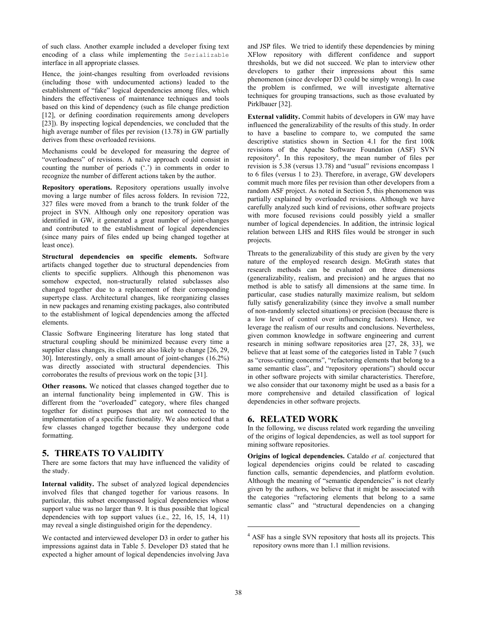of such class. Another example included a developer fixing text encoding of a class while implementing the Serializable interface in all appropriate classes.

Hence, the joint-changes resulting from overloaded revisions (including those with undocumented actions) leaded to the establishment of "fake" logical dependencies among files, which hinders the effectiveness of maintenance techniques and tools based on this kind of dependency (such as file change prediction [12], or defining coordination requirements among developers [23]). By inspecting logical dependencies, we concluded that the high average number of files per revision (13.78) in GW partially derives from these overloaded revisions.

Mechanisms could be developed for measuring the degree of "overloadness" of revisions. A naïve approach could consist in counting the number of periods ('.') in comments in order to recognize the number of different actions taken by the author.

**Repository operations.** Repository operations usually involve moving a large number of files across folders. In revision 722, 327 files were moved from a branch to the trunk folder of the project in SVN. Although only one repository operation was identified in GW, it generated a great number of joint-changes and contributed to the establishment of logical dependencies (since many pairs of files ended up being changed together at least once).

**Structural dependencies on specific elements.** Software artifacts changed together due to structural dependencies from clients to specific suppliers. Although this phenomenon was somehow expected, non-structurally related subclasses also changed together due to a replacement of their corresponding supertype class. Architectural changes, like reorganizing classes in new packages and renaming existing packages, also contributed to the establishment of logical dependencies among the affected elements.

Classic Software Engineering literature has long stated that structural coupling should be minimized because every time a supplier class changes, its clients are also likely to change [26, 29, 30]. Interestingly, only a small amount of joint-changes (16.2%) was directly associated with structural dependencies. This corroborates the results of previous work on the topic [31].

**Other reasons.** We noticed that classes changed together due to an internal functionality being implemented in GW. This is different from the "overloaded" category, where files changed together for distinct purposes that are not connected to the implementation of a specific functionality. We also noticed that a few classes changed together because they undergone code formatting.

#### **5. THREATS TO VALIDITY**

There are some factors that may have influenced the validity of the study.

**Internal validity.** The subset of analyzed logical dependencies involved files that changed together for various reasons. In particular, this subset encompassed logical dependencies whose support value was no larger than 9. It is thus possible that logical dependencies with top support values (i.e., 22, 16, 15, 14, 11) may reveal a single distinguished origin for the dependency.

We contacted and interviewed developer D3 in order to gather his impressions against data in Table 5. Developer D3 stated that he expected a higher amount of logical dependencies involving Java and JSP files. We tried to identify these dependencies by mining XFlow repository with different confidence and support thresholds, but we did not succeed. We plan to interview other developers to gather their impressions about this same phenomenon (since developer D3 could be simply wrong). In case the problem is confirmed, we will investigate alternative techniques for grouping transactions, such as those evaluated by Pirklbauer [32].

**External validity.** Commit habits of developers in GW may have influenced the generalizability of the results of this study. In order to have a baseline to compare to, we computed the same descriptive statistics shown in Section 4.1 for the first 100k revisions of the Apache Software Foundation (ASF) SVN repository<sup>4</sup>. In this repository, the mean number of files per revision is 5.38 (versus 13.78) and "usual" revisions encompass 1 to 6 files (versus 1 to 23). Therefore, in average, GW developers commit much more files per revision than other developers from a random ASF project. As noted in Section 5, this phenomenon was partially explained by overloaded revisions. Although we have carefully analyzed such kind of revisions, other software projects with more focused revisions could possibly yield a smaller number of logical dependencies. In addition, the intrinsic logical relation between LHS and RHS files would be stronger in such projects.

Threats to the generalizability of this study are given by the very nature of the employed research design. McGrath states that research methods can be evaluated on three dimensions (generalizability, realism, and precision) and he argues that no method is able to satisfy all dimensions at the same time. In particular, case studies naturally maximize realism, but seldom fully satisfy generalizability (since they involve a small number of non-randomly selected situations) or precision (because there is a low level of control over influencing factors). Hence, we leverage the realism of our results and conclusions. Nevertheless, given common knowledge in software engineering and current research in mining software repositories area [27, 28, 33], we believe that at least some of the categories listed in Table 7 (such as "cross-cutting concerns", "refactoring elements that belong to a same semantic class", and "repository operations") should occur in other software projects with similar characteristics. Therefore, we also consider that our taxonomy might be used as a basis for a more comprehensive and detailed classification of logical dependencies in other software projects.

## **6. RELATED WORK**

In the following, we discuss related work regarding the unveiling of the origins of logical dependencies, as well as tool support for mining software repositories.

**Origins of logical dependencies.** Cataldo *et al.* conjectured that logical dependencies origins could be related to cascading function calls, semantic dependencies, and platform evolution. Although the meaning of "semantic dependencies" is not clearly given by the authors, we believe that it might be associated with the categories "refactoring elements that belong to a same semantic class" and "structural dependencies on a changing

 $\overline{a}$ 

<sup>&</sup>lt;sup>4</sup> ASF has a single SVN repository that hosts all its projects. This repository owns more than 1.1 million revisions.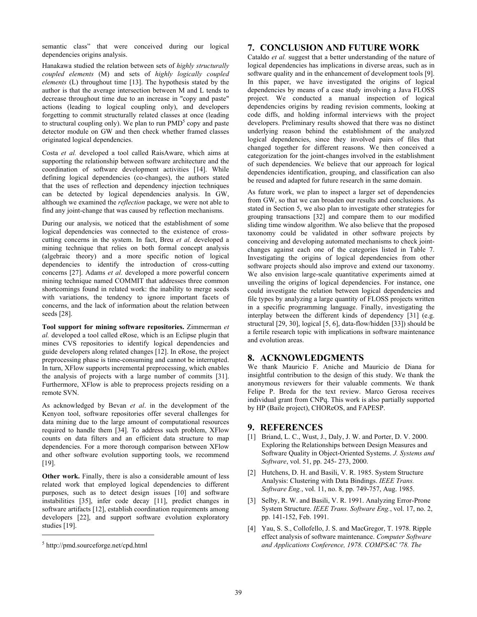semantic class" that were conceived during our logical dependencies origins analysis.

Hanakawa studied the relation between sets of *highly structurally coupled elements* (M) and sets of *highly logically coupled elements* (L) throughout time [13]. The hypothesis stated by the author is that the average intersection between M and L tends to decrease throughout time due to an increase in "copy and paste" actions (leading to logical coupling only), and developers forgetting to commit structurally related classes at once (leading to structural coupling only). We plan to run  $PMD<sup>5</sup>$  copy and paste detector module on GW and then check whether framed classes originated logical dependencies.

Costa *et al.* developed a tool called RaisAware, which aims at supporting the relationship between software architecture and the coordination of software development activities [14]. While defining logical dependencies (co-changes), the authors stated that the uses of reflection and dependency injection techniques can be detected by logical dependencies analysis. In GW, although we examined the *reflection* package, we were not able to find any joint-change that was caused by reflection mechanisms.

During our analysis, we noticed that the establishment of some logical dependencies was connected to the existence of crosscutting concerns in the system. In fact, Breu *et al.* developed a mining technique that relies on both formal concept analysis (algebraic theory) and a more specific notion of logical dependencies to identify the introduction of cross-cutting concerns [27]. Adams *et al.* developed a more powerful concern mining technique named COMMIT that addresses three common shortcomings found in related work: the inability to merge seeds with variations, the tendency to ignore important facets of concerns, and the lack of information about the relation between seeds [28].

**Tool support for mining software repositories.** Zimmerman *et al.* developed a tool called eRose, which is an Eclipse plugin that mines CVS repositories to identify logical dependencies and guide developers along related changes [12]. In eRose, the project preprocessing phase is time-consuming and cannot be interrupted. In turn, XFlow supports incremental preprocessing, which enables the analysis of projects with a large number of commits [31]. Furthermore, XFlow is able to preprocess projects residing on a remote SVN.

As acknowledged by Bevan *et al*. in the development of the Kenyon tool, software repositories offer several challenges for data mining due to the large amount of computational resources required to handle them [34]. To address such problem, XFlow counts on data filters and an efficient data structure to map dependencies. For a more thorough comparison between XFlow and other software evolution supporting tools, we recommend [19].

**Other work.** Finally, there is also a considerable amount of less related work that employed logical dependencies to different purposes, such as to detect design issues [10] and software instabilities [35], infer code decay [11], predict changes in software artifacts [12], establish coordination requirements among developers [22], and support software evolution exploratory studies [19].

l

## **7. CONCLUSION AND FUTURE WORK**

Cataldo *et al.* suggest that a better understanding of the nature of logical dependencies has implications in diverse areas, such as in software quality and in the enhancement of development tools [9]. In this paper, we have investigated the origins of logical dependencies by means of a case study involving a Java FLOSS project. We conducted a manual inspection of logical dependencies origins by reading revision comments, looking at code diffs, and holding informal interviews with the project developers. Preliminary results showed that there was no distinct underlying reason behind the establishment of the analyzed logical dependencies, since they involved pairs of files that changed together for different reasons. We then conceived a categorization for the joint-changes involved in the establishment of such dependencies. We believe that our approach for logical dependencies identification, grouping, and classification can also be reused and adapted for future research in the same domain.

As future work, we plan to inspect a larger set of dependencies from GW, so that we can broaden our results and conclusions. As stated in Section 5, we also plan to investigate other strategies for grouping transactions [32] and compare them to our modified sliding time window algorithm. We also believe that the proposed taxonomy could be validated in other software projects by conceiving and developing automated mechanisms to check jointchanges against each one of the categories listed in Table 7. Investigating the origins of logical dependencies from other software projects should also improve and extend our taxonomy. We also envision large-scale quantitative experiments aimed at unveiling the origins of logical dependencies. For instance, one could investigate the relation between logical dependencies and file types by analyzing a large quantity of FLOSS projects written in a specific programming language. Finally, investigating the interplay between the different kinds of dependency [31] (e.g. structural [29, 30], logical [5, 6], data-flow/hidden [33]) should be a fertile research topic with implications in software maintenance and evolution areas.

## **8. ACKNOWLEDGMENTS**

We thank Mauricio F. Aniche and Mauricio de Diana for insightful contribution to the design of this study. We thank the anonymous reviewers for their valuable comments. We thank Felipe P. Breda for the text review. Marco Gerosa receives individual grant from CNPq. This work is also partially supported by HP (Baile project), CHOReOS, and FAPESP.

#### **9. REFERENCES**

- [1] Briand, L. C., Wust, J., Daly, J. W. and Porter, D. V. 2000. Exploring the Relationships between Design Measures and Software Quality in Object-Oriented Systems. *J. Systems and Software*, vol. 51, pp. 245- 273, 2000.
- [2] Hutchens, D. H. and Basili, V. R. 1985. System Structure Analysis: Clustering with Data Bindings. *IEEE Trans. Software Eng.*, vol. 11, no. 8, pp. 749-757, Aug. 1985.
- [3] Selby, R. W. and Basili, V. R. 1991. Analyzing Error-Prone System Structure. *IEEE Trans. Software Eng.*, vol. 17, no. 2, pp. 141-152, Feb. 1991.
- [4] Yau, S. S., Collofello, J. S. and MacGregor, T. 1978. Ripple effect analysis of software maintenance. *Computer Software and Applications Conference, 1978. COMPSAC '78. The*

<sup>5</sup> http://pmd.sourceforge.net/cpd.html